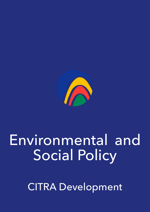

# Environmental and Social Policy

CITRA Development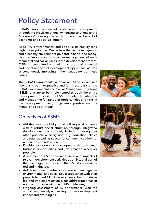# Policy Statement

CITRA's vision is one of sustainable development, through the provision of quality housing solutions to the "affordable" housing market, with the added benefit of economic and social upliftment.

At CITRA, environmental and social sustainability rank high in our priorities. We believe that economic growth and a healthy environment go hand in hand, and recognise the importance of effective management of environmental and social issues in the development process. CITRA is committed to minimizing the environmental and social impacts of development operations, as well as continuously improving in the management of these issues.

The CITRA Environmental and Social (ES) policy outlines how this is put into practice and forms the basis of the CITRA Environmental and Social Management Systems (ESMS) that are to be implemented through the entire development process. The ESMS will identify, integrate and manage the full range of opportunities and risks in the development chain, to generate positive environmental and social impact.



### Objectives of ESMS

- Aid the creation of high-quality living environments with a robust social structure, through integrated development that not only includes housing, but other possible ancillary uses e.g. education, clinics and retail as well as spaces for community gathering, recreation and relaxation.
- Provide for economic development through small business opportunities and job creation wherever possible.
- Assessment of ES opportunities, risks and impacts of relevant development activities as an integral part of the due diligence process so that ES risks are evaluated and mitigated.
- Aid development partners to assess and manage the environmental and social issues associated with their projects to meet CITRA requirements. Assist to develop and implement action plans addressing areas of non-conformance with the ESMS guidelines;
- Ongoing assessment of ES performance, with the aim of continuously enhancing positive development impact and avoiding risk.

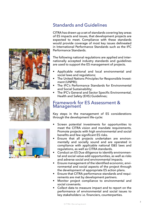





## Standards and Guidelines

CITRA has drawn up a set of standards covering key areas of ES impacts and issues, that development projects are expected to meet. Compliance with these standards would provide coverage of most key issues delineated in International Performance Standards such as the IFC Performance Standards.

The following national regulations are applied and internationally accepted industry standards and guidelines are used to support the ES management of projects.

- Applicable national and local environmental and social laws and regulations;
- The United Nations Principles for Responsible Investment (UNPRI);
- The IFC's Performance Standards for Environmental and Social Sustainability;
- The IFC's General and Sector Specific Environmental, Health and Safety (EHS) Guidelines;

#### Framework for ES Assessment & Management

Key steps in the management of ES considerations through the development life-cycle:

- Screen potential investments for opportunities to meet the CITRA vision and mandate requirements. Promote projects with high environmental and social benefits and few significant ES risks.
- Ensure that all projects undertaken are environmentally and socially sound and are operated in compliance with applicable national E&S laws and regulations, as well as CITRA standards.
- Conduct an ES Due diligence to identify environmental and social value-add opportunities, as well as risks and adverse social and environmental impacts.
- Ensure management of the identified economic, environmental and social aspects of the project through the development of appropriate ES action plans.
- Ensure that CITRA performance standards and requirements are met by development partners.
- Monitor project compliance to environmental and social covenants.
- Collect data to measure impact and to report on the performance of environmental and social issues to key stakeholders i.e. financiers, counterparties.